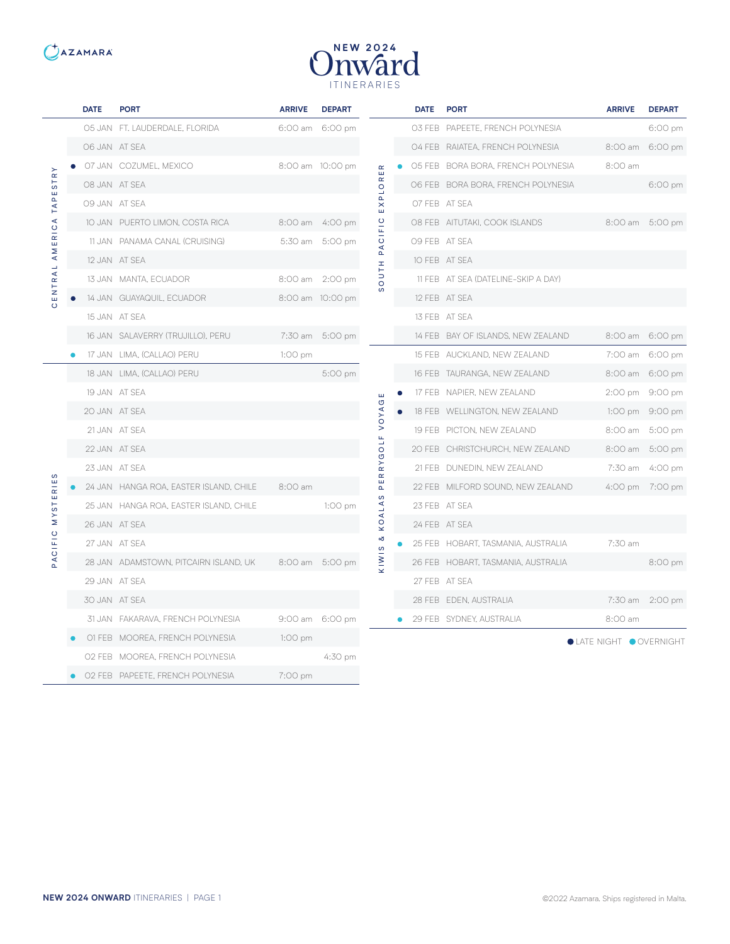



|                                                                                                            | <b>DATE</b> | <b>PORT</b>                            | <b>ARRIVE</b> | <b>DEPART</b>    |                             | <b>DATE</b> | <b>PORT</b>                         | <b>ARRIVE</b>                 | <b>DEPART</b>   |
|------------------------------------------------------------------------------------------------------------|-------------|----------------------------------------|---------------|------------------|-----------------------------|-------------|-------------------------------------|-------------------------------|-----------------|
| $\stackrel{\textstyle\sim}{\scriptstyle\kappa}$<br>$\frac{1}{5}$<br>ш<br><b>TAPI</b><br>AMERICA<br>CENTRAL |             | 05 JAN FT. LAUDERDALE, FLORIDA         |               | 6:00 am 6:00 pm  |                             |             | 03 FEB PAPEETE, FRENCH POLYNESIA    |                               | 6:00 pm         |
|                                                                                                            |             | O6 JAN AT SEA                          |               |                  |                             |             | 04 FEB RAIATEA, FRENCH POLYNESIA    |                               | 8:00 am 6:00 pm |
|                                                                                                            |             | O7 JAN COZUMEL, MEXICO                 |               | 8:00 am 10:00 pm | $\alpha$                    |             | 05 FEB BORA BORA, FRENCH POLYNESIA  | 8:00 am                       |                 |
|                                                                                                            |             | 08 JAN AT SEA                          |               |                  | $\frac{\alpha}{\alpha}$     |             | O6 FEB BORA BORA, FRENCH POLYNESIA  |                               | 6:00 pm         |
|                                                                                                            |             | 09 JAN AT SEA                          |               |                  | $\frac{1}{\alpha}$<br>E X   |             | O7 FEB AT SEA                       |                               |                 |
|                                                                                                            |             | 10 JAN PUERTO LIMON, COSTA RICA        |               | 8:00 am 4:00 pm  | CIFIC                       |             | O8 FEB AITUTAKI, COOK ISLANDS       |                               | 8:00 am 5:00 pm |
|                                                                                                            |             | 11 JAN PANAMA CANAL (CRUISING)         |               | 5:30 am 5:00 pm  | $\overline{A}$              |             | O9 FEB AT SEA                       |                               |                 |
|                                                                                                            |             | 12 JAN AT SEA                          |               |                  | Ŧ                           |             | 10 FEB AT SEA                       |                               |                 |
|                                                                                                            |             | 13 JAN MANTA, ECUADOR                  |               | 8:00 am 2:00 pm  | $\frac{1}{\alpha}$          |             | 11 FEB AT SEA (DATELINE-SKIP A DAY) |                               |                 |
|                                                                                                            |             | 14 JAN GUAYAQUIL, ECUADOR              |               | 8:00 am 10:00 pm | $\omega$                    |             | 12 FEB AT SEA                       |                               |                 |
|                                                                                                            |             | 15 JAN AT SEA                          |               |                  |                             |             | 13 FEB AT SEA                       |                               |                 |
|                                                                                                            |             | 16 JAN SALAVERRY (TRUJILLO), PERU      |               | 7:30 am 5:00 pm  |                             |             | 14 FEB BAY OF ISLANDS, NEW ZEALAND  |                               | 8:00 am 6:00 pm |
|                                                                                                            |             | 17 JAN LIMA, (CALLAO) PERU             | $1:OO$ pm     |                  |                             |             | 15 FEB AUCKLAND, NEW ZEALAND        |                               | 7:00 am 6:00 pm |
|                                                                                                            |             | 18 JAN LIMA, (CALLAO) PERU             |               | 5:00 pm          |                             |             | 16 FEB TAURANGA, NEW ZEALAND        |                               | 8:00 am 6:00 pm |
|                                                                                                            |             | 19 JAN AT SEA                          |               |                  | ш                           |             | 17 FEB NAPIER, NEW ZEALAND          |                               | 2:00 pm 9:00 pm |
|                                                                                                            |             | 20 JAN AT SEA                          |               |                  | <b>DAYO</b>                 |             | 18 FEB WELLINGTON, NEW ZEALAND      |                               | 1:00 pm 9:00 pm |
|                                                                                                            |             | 21 JAN AT SEA                          |               |                  | $\geq$<br>Щ                 |             | 19 FEB PICTON, NEW ZEALAND          |                               | 8:00 am 5:00 pm |
|                                                                                                            |             | 22 JAN AT SEA                          |               |                  | $\vec{o}$<br>$\bar{\sigma}$ |             | 20 FEB CHRISTCHURCH, NEW ZEALAND    |                               | 8:00 am 5:00 pm |
|                                                                                                            |             | 23 JAN AT SEA                          |               |                  | $\overline{R}$<br>$\alpha$  |             | 21 FEB DUNEDIN, NEW ZEALAND         |                               | 7:30 am 4:00 pm |
|                                                                                                            |             | 24 JAN HANGA ROA, EASTER ISLAND, CHILE | 8:00 am       |                  | $\frac{11}{1}$              |             | 22 FEB MILFORD SOUND, NEW ZEALAND   |                               | 4:00 pm 7:00 pm |
| STERIE                                                                                                     |             | 25 JAN HANGA ROA, EASTER ISLAND, CHILE |               | 1:00 pm          | $\omega$<br>$\overline{A}$  |             | 23 FEB AT SEA                       |                               |                 |
| $\geq$                                                                                                     |             | 26 JAN AT SEA                          |               |                  | KOA                         |             | 24 FEB AT SEA                       |                               |                 |
| CIFIC                                                                                                      |             | 27 JAN AT SEA                          |               |                  | ∞<br>$\pmb{\mathsf{C}}$     |             | 25 FEB HOBART, TASMANIA, AUSTRALIA  | 7:30 am                       |                 |
| $\mathsf{A}$                                                                                               |             | 28 JAN ADAMSTOWN, PITCAIRN ISLAND, UK  |               | 8:00 am 5:00 pm  | KIWI                        |             | 26 FEB HOBART, TASMANIA, AUSTRALIA  |                               | 8:00 pm         |
|                                                                                                            |             | 29 JAN AT SEA                          |               |                  |                             |             | 27 FEB AT SEA                       |                               |                 |
|                                                                                                            |             | 30 JAN AT SEA                          |               |                  |                             |             | 28 FEB EDEN, AUSTRALIA              |                               | 7:30 am 2:00 pm |
|                                                                                                            |             | 31 JAN FAKARAVA, FRENCH POLYNESIA      |               | 9:00 am 6:00 pm  |                             |             | 29 FEB SYDNEY, AUSTRALIA            | 8:00 am                       |                 |
|                                                                                                            |             | O1 FEB MOOREA, FRENCH POLYNESIA        | $1:00$ pm     |                  |                             |             |                                     | <b>OLATE NIGHT OOVERNIGHT</b> |                 |
|                                                                                                            |             | 02 FEB MOOREA, FRENCH POLYNESIA        |               | 4:30 pm          |                             |             |                                     |                               |                 |
|                                                                                                            |             | 02 FEB PAPEETE, FRENCH POLYNESIA       | 7:00 pm       |                  |                             |             |                                     |                               |                 |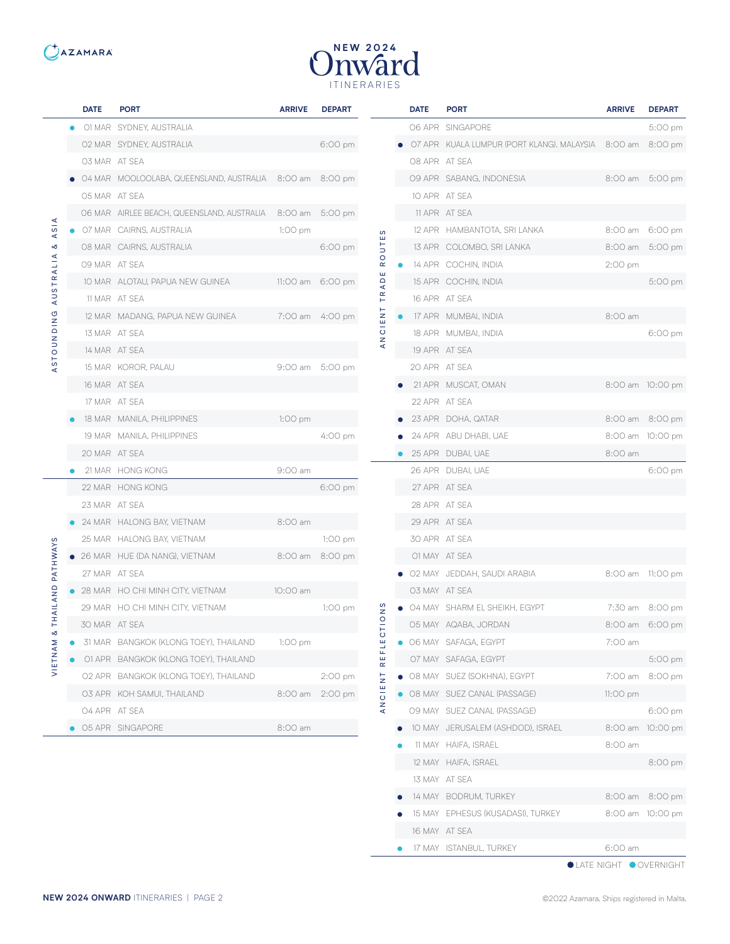



|                                       |           | <b>DATE</b>   | <b>PORT</b>                                                | <b>ARRIVE</b> | <b>DEPART</b>     |                         | <b>DATE</b>   | <b>PORT</b>                                                | <b>ARRIVE</b> | <b>DEPART</b>    |
|---------------------------------------|-----------|---------------|------------------------------------------------------------|---------------|-------------------|-------------------------|---------------|------------------------------------------------------------|---------------|------------------|
|                                       |           |               | 01 MAR SYDNEY, AUSTRALIA                                   |               |                   |                         |               | O6 APR SINGAPORE                                           |               | 5:00 pm          |
| ₫<br>A <sub>S</sub><br>∞<br>AUSTRALIA |           |               | 02 MAR SYDNEY, AUSTRALIA                                   |               | $6:00 \text{ pm}$ |                         |               | O7 APR KUALA LUMPUR (PORT KLANG). MALAYSIA 8:00 am 8:00 pm |               |                  |
|                                       |           | O3 MAR AT SEA |                                                            |               |                   |                         | O8 APR AT SEA |                                                            |               |                  |
|                                       |           |               | 04 MAR MOOLOOLABA, QUEENSLAND, AUSTRALIA 8:00 am 8:00 pm   |               |                   |                         |               | 09 APR SABANG, INDONESIA                                   |               | 8:00 am 5:00 pm  |
|                                       |           | 05 MAR AT SEA |                                                            |               |                   |                         |               | 10 APR AT SEA                                              |               |                  |
|                                       |           |               | 06 MAR AIRLEE BEACH, QUEENSLAND, AUSTRALIA 8:00 am 5:00 pm |               |                   |                         |               | 11 APR AT SEA                                              |               |                  |
|                                       |           |               | 07 MAR CAIRNS, AUSTRALIA                                   | $1:00$ pm     |                   | S                       |               | 12 APR HAMBANTOTA, SRI LANKA                               |               | 8:00 am 6:00 pm  |
|                                       |           |               | 08 MAR CAIRNS, AUSTRALIA                                   |               | 6:00 pm           | $\overline{5}$          |               | 13 APR COLOMBO, SRI LANKA                                  |               | 8:00 am 5:00 pm  |
|                                       |           | 09 MAR AT SEA |                                                            |               |                   | $\circ$<br>$\simeq$     |               | 14 APR COCHIN, INDIA                                       | 2:00 pm       |                  |
|                                       |           |               | 10 MAR ALOTAU, PAPUA NEW GUINEA                            |               | 11:00 am 6:00 pm  | ш<br>$\circ$<br>⋖       |               | 15 APR COCHIN, INDIA                                       |               | 5:00 pm          |
|                                       |           |               | 11 MAR AT SEA                                              |               |                   | $\propto$<br>$\vdash$   |               | 16 APR AT SEA                                              |               |                  |
| Ű                                     |           |               | 12 MAR MADANG, PAPUA NEW GUINEA                            |               | 7:00 am 4:00 pm   | $\frac{Z}{4}$           |               | 17 APR MUMBAI, INDIA                                       | 8:00 am       |                  |
|                                       |           |               | 13 MAR AT SEA                                              |               |                   | $\overline{\circ}$<br>z |               | 18 APR MUMBAI, INDIA                                       |               | 6:00 pm          |
| <b>NIGNUOTS</b>                       |           |               | 14 MAR AT SEA                                              |               |                   |                         |               | 19 APR AT SEA                                              |               |                  |
| ⋖                                     |           |               | 15 MAR KOROR, PALAU                                        |               | 9:00 am 5:00 pm   |                         |               | 20 APR AT SEA                                              |               |                  |
|                                       |           |               | 16 MAR AT SEA                                              |               |                   |                         |               | 21 APR MUSCAT, OMAN                                        |               | 8:00 am 10:00 pm |
|                                       |           |               | 17 MAR AT SEA                                              |               |                   |                         |               | 22 APR AT SEA                                              |               |                  |
|                                       |           |               | 18 MAR MANILA, PHILIPPINES                                 | $1:00$ pm     |                   |                         |               | 23 APR DOHA, QATAR                                         |               | 8:00 am 8:00 pm  |
|                                       |           |               | 19 MAR MANILA, PHILIPPINES                                 |               | 4:00 pm           |                         |               | 24 APR ABU DHABI, UAE                                      |               | 8:00 am 10:00 pm |
|                                       |           | 20 MAR AT SEA |                                                            |               |                   |                         |               | 25 APR DUBAI, UAE                                          | 8:00 am       |                  |
|                                       |           |               | 21 MAR HONG KONG                                           | 9:00 am       |                   |                         |               | 26 APR DUBAI, UAE                                          |               | 6:00 pm          |
|                                       |           |               | 22 MAR HONG KONG                                           |               | $6:00 \text{ pm}$ |                         |               | 27 APR AT SEA                                              |               |                  |
|                                       |           | 23 MAR AT SEA |                                                            |               |                   |                         |               | 28 APR AT SEA                                              |               |                  |
|                                       |           |               | 24 MAR HALONG BAY, VIETNAM                                 | 8:00 am       |                   |                         |               | 29 APR AT SEA                                              |               |                  |
| ဖ                                     |           |               | 25 MAR HALONG BAY, VIETNAM                                 |               | 1:00 pm           |                         | 30 APR AT SEA |                                                            |               |                  |
|                                       |           |               | $\bullet$ 26 MAR $HUE$ (DA NANG), VIETNAM                  |               | 8:00 am 8:00 pm   |                         |               | O1 MAY AT SEA                                              |               |                  |
| PATHWAY                               |           | 27 MAR AT SEA |                                                            |               |                   |                         |               | 02 MAY JEDDAH, SAUDI ARABIA                                |               | 8:00 am 11:00 pm |
|                                       |           |               | • 28 MAR HO CHI MINH CITY, VIETNAM                         | 10:00 am      |                   |                         | O3 MAY AT SEA |                                                            |               |                  |
| THAILAND                              |           |               | 29 MAR HO CHI MINH CITY, VIETNAM                           |               | 1:00 pm           | $\frac{8}{2}$           |               | • 04 MAY SHARM EL SHEIKH, EGYPT                            |               | 7:30 am 8:00 pm  |
| చ                                     |           | 30 MAR AT SEA |                                                            |               |                   | $\frac{1}{10}$          |               | 05 MAY AQABA, JORDAN                                       |               | 8:00 am 6:00 pm  |
|                                       | $\bullet$ |               | 31 MAR BANGKOK (KLONG TOEY), THAILAND                      | 1:00 pm       |                   | ш<br>u                  |               | • O6 MAY SAFAGA, EGYPT                                     | 7:00 am       |                  |
| VIETNAM                               |           |               | 01 APR BANGKOK (KLONG TOEY), THAILAND                      |               |                   | Щ<br>ш<br>$\alpha$      |               | O7 MAY SAFAGA, EGYPT                                       |               | 5:00 pm          |
|                                       |           |               | 02 APR BANGKOK (KLONG TOEY), THAILAND                      |               | 2:00 pm           | $\frac{1}{2}$           |               | • 08 MAY SUEZ (SOKHNA), EGYPT                              | 7:00 am       | 8:00 pm          |
|                                       |           |               | O3 APR KOH SAMUI, THAILAND                                 |               | 8:00 am 2:00 pm   | 쁘<br>ᅙ                  |               | • O8 MAY SUEZ CANAL (PASSAGE)                              | 11:00 pm      |                  |
|                                       |           | 04 APR AT SEA |                                                            |               |                   | z<br>$\prec$            |               | 09 MAY SUEZ CANAL (PASSAGE)                                |               | 6:00 pm          |
|                                       |           |               | ● 05 APR SINGAPORE                                         | 8:00 am       |                   |                         |               | 10 MAY JERUSALEM (ASHDOD), ISRAEL                          |               | 8:00 am 10:00 pm |
|                                       |           |               |                                                            |               |                   |                         |               | <b>11 MAY HAIFA, ISRAEL</b>                                | 8:00 am       |                  |

12 MAY HAIFA, ISRAEL 8:00 pm

• 14 MAY BODRUM, TURKEY 8:00 am 8:00 pm 15 MAY EPHESUS (KUSADASI), TURKEY 8:00 am 10:00 pm

17 MAY ISTANBUL, TURKEY 6:00 am

13 MAY AT SEA

16 MAY AT SEA

 $\bullet$